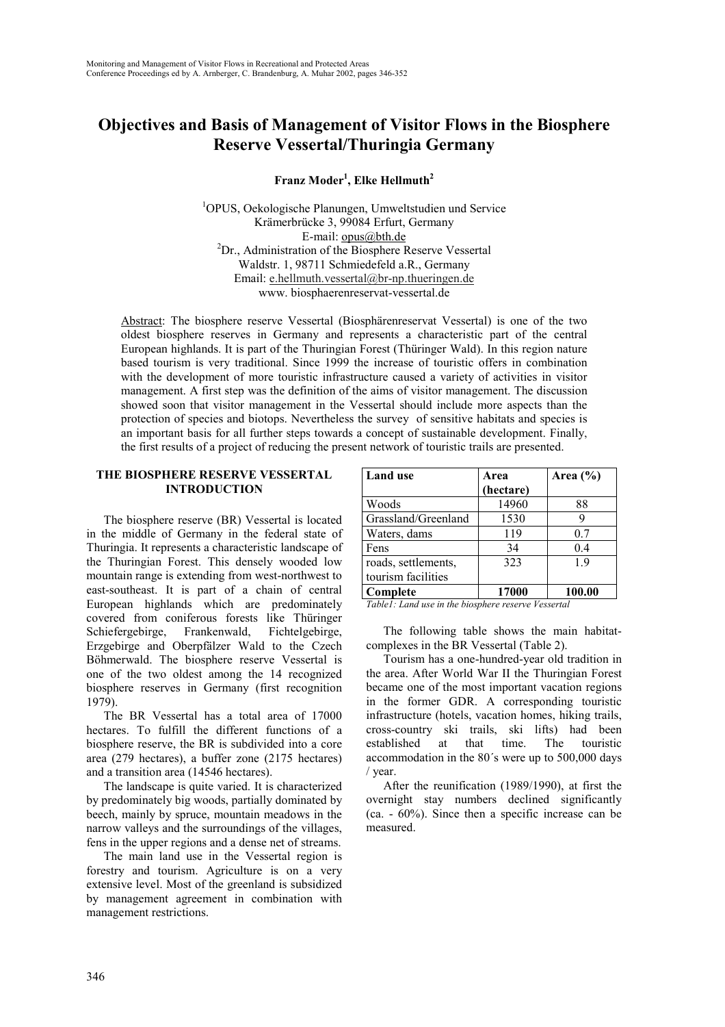# **Objectives and Basis of Management of Visitor Flows in the Biosphere Reserve Vessertal/Thuringia Germany**

**Franz Moder<sup>1</sup> , Elke Hellmuth2**

1 OPUS, Oekologische Planungen, Umweltstudien und Service Krämerbrücke 3, 99084 Erfurt, Germany E-mail: <u>opus@bth.de</u><br><sup>2</sup>Dr., Administration of the Biosphere Reserve Vessertal Waldstr. 1, 98711 Schmiedefeld a.R., Germany Email: e.hellmuth.vessertal@br-np.thueringen.de www. biosphaerenreservat-vessertal.de

Abstract: The biosphere reserve Vessertal (Biosphärenreservat Vessertal) is one of the two oldest biosphere reserves in Germany and represents a characteristic part of the central European highlands. It is part of the Thuringian Forest (Thüringer Wald). In this region nature based tourism is very traditional. Since 1999 the increase of touristic offers in combination with the development of more touristic infrastructure caused a variety of activities in visitor management. A first step was the definition of the aims of visitor management. The discussion showed soon that visitor management in the Vessertal should include more aspects than the protection of species and biotops. Nevertheless the survey of sensitive habitats and species is an important basis for all further steps towards a concept of sustainable development. Finally, the first results of a project of reducing the present network of touristic trails are presented.

# **THE BIOSPHERE RESERVE VESSERTAL INTRODUCTION**

The biosphere reserve (BR) Vessertal is located in the middle of Germany in the federal state of Thuringia. It represents a characteristic landscape of the Thuringian Forest. This densely wooded low mountain range is extending from west-northwest to east-southeast. It is part of a chain of central European highlands which are predominately covered from coniferous forests like Thüringer Schiefergebirge, Frankenwald, Fichtelgebirge, Erzgebirge and Oberpfälzer Wald to the Czech Böhmerwald. The biosphere reserve Vessertal is one of the two oldest among the 14 recognized biosphere reserves in Germany (first recognition 1979).

The BR Vessertal has a total area of 17000 hectares. To fulfill the different functions of a biosphere reserve, the BR is subdivided into a core area (279 hectares), a buffer zone (2175 hectares) and a transition area (14546 hectares).

The landscape is quite varied. It is characterized by predominately big woods, partially dominated by beech, mainly by spruce, mountain meadows in the narrow valleys and the surroundings of the villages, fens in the upper regions and a dense net of streams.

The main land use in the Vessertal region is forestry and tourism. Agriculture is on a very extensive level. Most of the greenland is subsidized by management agreement in combination with management restrictions.

| Land use                                  | Area<br>(hectare) | Area $(\% )$ |
|-------------------------------------------|-------------------|--------------|
| Woods                                     | 14960             | 88           |
| Grassland/Greenland                       | 1530              |              |
| Waters, dams                              | 119               | 0.7          |
| Fens                                      | 34                | 0.4          |
| roads, settlements,<br>tourism facilities | 323               | 19           |
| Complete                                  | 17000             | 100.00       |

*Table1: Land use in the biosphere reserve Vessertal*

The following table shows the main habitatcomplexes in the BR Vessertal (Table 2).

Tourism has a one-hundred-year old tradition in the area. After World War II the Thuringian Forest became one of the most important vacation regions in the former GDR. A corresponding touristic infrastructure (hotels, vacation homes, hiking trails, cross-country ski trails, ski lifts) had been established at that time. The touristic accommodation in the 80´s were up to 500,000 days / year.

After the reunification (1989/1990), at first the overnight stay numbers declined significantly (ca. - 60%). Since then a specific increase can be measured.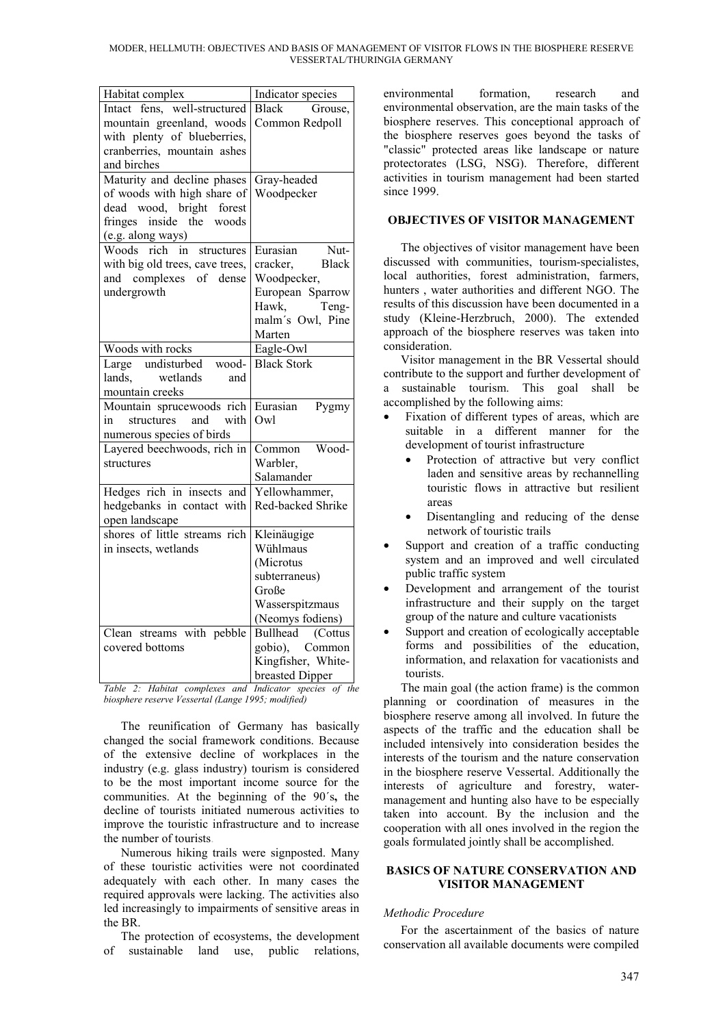| Habitat complex                 | Indicator species       |  |
|---------------------------------|-------------------------|--|
| Intact fens, well-structured    | <b>Black</b><br>Grouse, |  |
| mountain greenland, woods       | Common Redpoll          |  |
| with plenty of blueberries,     |                         |  |
| cranberries, mountain ashes     |                         |  |
| and birches                     |                         |  |
| Maturity and decline phases     | Gray-headed             |  |
| of woods with high share of     | Woodpecker              |  |
| dead wood, bright<br>forest     |                         |  |
| fringes inside the woods        |                         |  |
| (e.g. along ways)               |                         |  |
| Woods rich in<br>structures     | Eurasian<br>Nut-        |  |
| with big old trees, cave trees, | Black<br>cracker.       |  |
| and complexes of dense          | Woodpecker,             |  |
| undergrowth                     | European Sparrow        |  |
|                                 | Hawk,<br>Teng-          |  |
|                                 | malm's Owl, Pine        |  |
|                                 | Marten                  |  |
| Woods with rocks                | Eagle-Owl               |  |
| Large undisturbed wood-         | <b>Black Stork</b>      |  |
| wetlands<br>lands.<br>and       |                         |  |
| mountain creeks                 |                         |  |
| Mountain sprucewoods rich       | Eurasian<br>Pygmy       |  |
| and<br>structures<br>with<br>in | Qw                      |  |
| numerous species of birds       |                         |  |
| Layered beechwoods, rich in     | Wood-<br>Common         |  |
| structures                      | Warbler,                |  |
|                                 | Salamander              |  |
| Hedges rich in insects and      | Yellowhammer,           |  |
| hedgebanks in contact with      | Red-backed Shrike       |  |
| open landscape                  |                         |  |
| shores of little streams rich   | Kleinäugige             |  |
| in insects, wetlands            | Wühlmaus                |  |
|                                 | (Microtus               |  |
|                                 | subterraneus)           |  |
|                                 | Große                   |  |
|                                 | Wasserspitzmaus         |  |
|                                 | (Neomys fodiens)        |  |
| streams with pebble<br>Clean    | Bullhead (Cottus        |  |
| covered bottoms                 | gobio), Common          |  |
|                                 | Kingfisher, White-      |  |
|                                 |                         |  |
| II.1                            | breasted Dipper         |  |

*Table 2: Habitat complexes and Indicator species of the biosphere reserve Vessertal (Lange 1995; modified)*

The reunification of Germany has basically changed the social framework conditions. Because of the extensive decline of workplaces in the industry (e.g. glass industry) tourism is considered to be the most important income source for the communities. At the beginning of the 90´s**,** the decline of tourists initiated numerous activities to improve the touristic infrastructure and to increase the number of tourists.

Numerous hiking trails were signposted. Many of these touristic activities were not coordinated adequately with each other. In many cases the required approvals were lacking. The activities also led increasingly to impairments of sensitive areas in the BR.

The protection of ecosystems, the development of sustainable land use, public relations, environmental formation, research and environmental observation, are the main tasks of the biosphere reserves. This conceptional approach of the biosphere reserves goes beyond the tasks of "classic" protected areas like landscape or nature protectorates (LSG, NSG). Therefore, different activities in tourism management had been started since 1999.

# **OBJECTIVES OF VISITOR MANAGEMENT**

The objectives of visitor management have been discussed with communities, tourism-specialistes, local authorities, forest administration, farmers, hunters , water authorities and different NGO. The results of this discussion have been documented in a study (Kleine-Herzbruch, 2000). The extended approach of the biosphere reserves was taken into consideration.

Visitor management in the BR Vessertal should contribute to the support and further development of a sustainable tourism. This goal shall be accomplished by the following aims:

- Fixation of different types of areas, which are suitable in a different manner for the development of tourist infrastructure
	- Protection of attractive but very conflict laden and sensitive areas by rechannelling touristic flows in attractive but resilient areas
	- Disentangling and reducing of the dense network of touristic trails
- Support and creation of a traffic conducting system and an improved and well circulated public traffic system
- Development and arrangement of the tourist infrastructure and their supply on the target group of the nature and culture vacationists
- Support and creation of ecologically acceptable forms and possibilities of the education, information, and relaxation for vacationists and tourists.

The main goal (the action frame) is the common planning or coordination of measures in the biosphere reserve among all involved. In future the aspects of the traffic and the education shall be included intensively into consideration besides the interests of the tourism and the nature conservation in the biosphere reserve Vessertal. Additionally the interests of agriculture and forestry, watermanagement and hunting also have to be especially taken into account. By the inclusion and the cooperation with all ones involved in the region the goals formulated jointly shall be accomplished.

# **BASICS OF NATURE CONSERVATION AND VISITOR MANAGEMENT**

# *Methodic Procedure*

For the ascertainment of the basics of nature conservation all available documents were compiled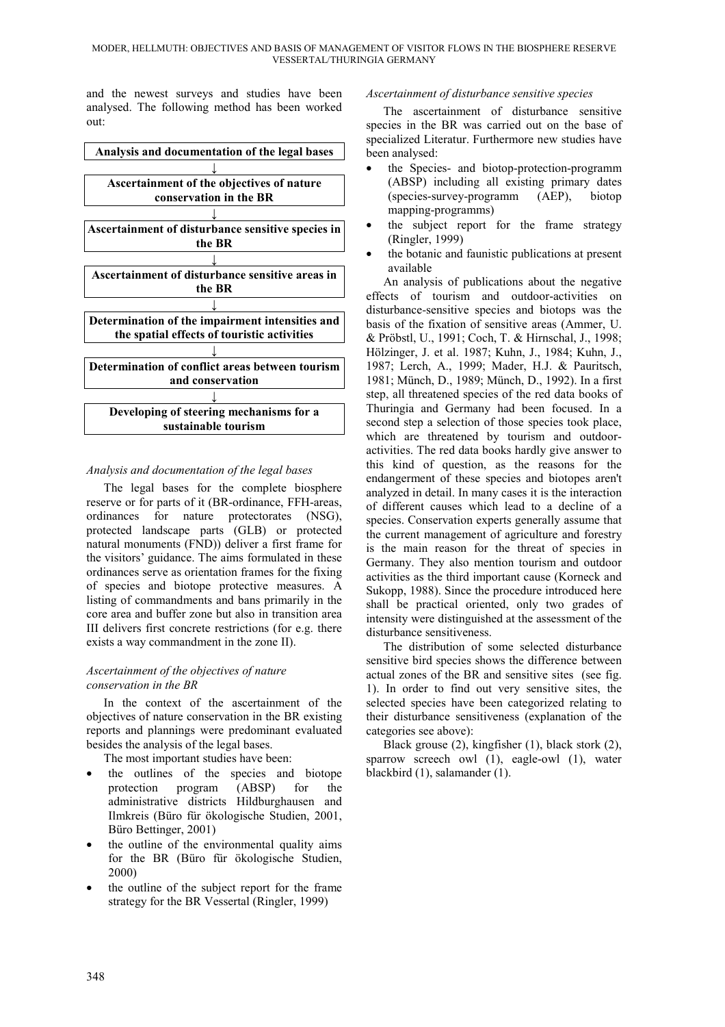and the newest surveys and studies have been analysed. The following method has been worked out:



# *Analysis and documentation of the legal bases*

The legal bases for the complete biosphere reserve or for parts of it (BR-ordinance, FFH-areas, ordinances for nature protectorates (NSG), protected landscape parts (GLB) or protected natural monuments (FND)) deliver a first frame for the visitors' guidance. The aims formulated in these ordinances serve as orientation frames for the fixing of species and biotope protective measures. A listing of commandments and bans primarily in the core area and buffer zone but also in transition area III delivers first concrete restrictions (for e.g. there exists a way commandment in the zone II).

# *Ascertainment of the objectives of nature conservation in the BR*

In the context of the ascertainment of the objectives of nature conservation in the BR existing reports and plannings were predominant evaluated besides the analysis of the legal bases.

The most important studies have been:

- the outlines of the species and biotope protection program (ABSP) for the administrative districts Hildburghausen and Ilmkreis (Büro für ökologische Studien, 2001, Büro Bettinger, 2001)
- the outline of the environmental quality aims for the BR (Büro für ökologische Studien, 2000)
- the outline of the subject report for the frame strategy for the BR Vessertal (Ringler, 1999)

# *Ascertainment of disturbance sensitive species*

The ascertainment of disturbance sensitive species in the BR was carried out on the base of specialized Literatur. Furthermore new studies have been analysed:

- the Species- and biotop-protection-programm (ABSP) including all existing primary dates (species-survey-programm (AEP), biotop mapping-programms)
- the subject report for the frame strategy (Ringler, 1999)
- the botanic and faunistic publications at present available

An analysis of publications about the negative effects of tourism and outdoor-activities on disturbance-sensitive species and biotops was the basis of the fixation of sensitive areas (Ammer, U. & Pröbstl, U., 1991; Coch, T. & Hirnschal, J., 1998; Hölzinger, J. et al. 1987; Kuhn, J., 1984; Kuhn, J., 1987; Lerch, A., 1999; Mader, H.J. & Pauritsch, 1981; Münch, D., 1989; Münch, D., 1992). In a first step, all threatened species of the red data books of Thuringia and Germany had been focused. In a second step a selection of those species took place, which are threatened by tourism and outdooractivities. The red data books hardly give answer to this kind of question, as the reasons for the endangerment of these species and biotopes aren't analyzed in detail. In many cases it is the interaction of different causes which lead to a decline of a species. Conservation experts generally assume that the current management of agriculture and forestry is the main reason for the threat of species in Germany. They also mention tourism and outdoor activities as the third important cause (Korneck and Sukopp, 1988). Since the procedure introduced here shall be practical oriented, only two grades of intensity were distinguished at the assessment of the disturbance sensitiveness.

The distribution of some selected disturbance sensitive bird species shows the difference between actual zones of the BR and sensitive sites (see fig. 1). In order to find out very sensitive sites, the selected species have been categorized relating to their disturbance sensitiveness (explanation of the categories see above):

Black grouse (2), kingfisher (1), black stork (2), sparrow screech owl (1), eagle-owl (1), water blackbird (1), salamander (1).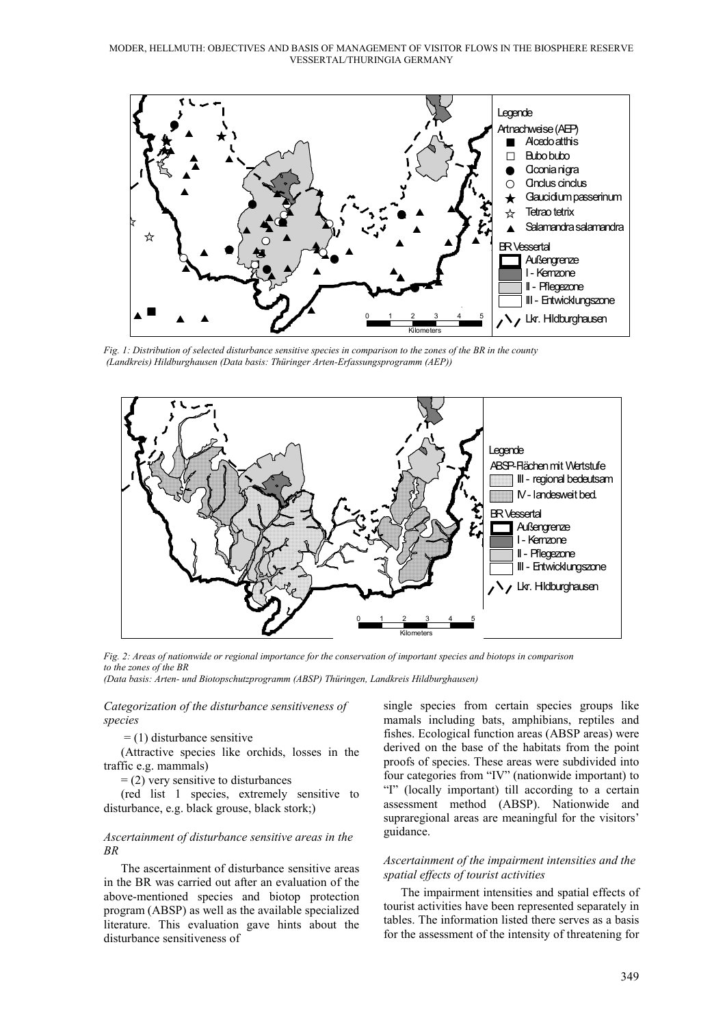MODER, HELLMUTH: OBJECTIVES AND BASIS OF MANAGEMENT OF VISITOR FLOWS IN THE BIOSPHERE RESERVE VESSERTAL/THURINGIA GERMANY



*Fig. 1: Distribution of selected disturbance sensitive species in comparison to the zones of the BR in the county (Landkreis) Hildburghausen (Data basis: Thüringer Arten-Erfassungsprogramm (AEP))*



*Fig. 2: Areas of nationwide or regional importance for the conservation of important species and biotops in comparison to the zones of the BR*

*(Data basis: Arten- und Biotopschutzprogramm (ABSP) Thüringen, Landkreis Hildburghausen)*

#### *Categorization of the disturbance sensitiveness of species*

 $=$  (1) disturbance sensitive

(Attractive species like orchids, losses in the traffic e.g. mammals)

 $=$  (2) very sensitive to disturbances

(red list 1 species, extremely sensitive to disturbance, e.g. black grouse, black stork;)

#### *Ascertainment of disturbance sensitive areas in the BR*

The ascertainment of disturbance sensitive areas in the BR was carried out after an evaluation of the above-mentioned species and biotop protection program (ABSP) as well as the available specialized literature. This evaluation gave hints about the disturbance sensitiveness of

single species from certain species groups like mamals including bats, amphibians, reptiles and fishes. Ecological function areas (ABSP areas) were derived on the base of the habitats from the point proofs of species. These areas were subdivided into four categories from "IV" (nationwide important) to "I" (locally important) till according to a certain assessment method (ABSP). Nationwide and supraregional areas are meaningful for the visitors' guidance.

# *Ascertainment of the impairment intensities and the spatial effects of tourist activities*

The impairment intensities and spatial effects of tourist activities have been represented separately in tables. The information listed there serves as a basis for the assessment of the intensity of threatening for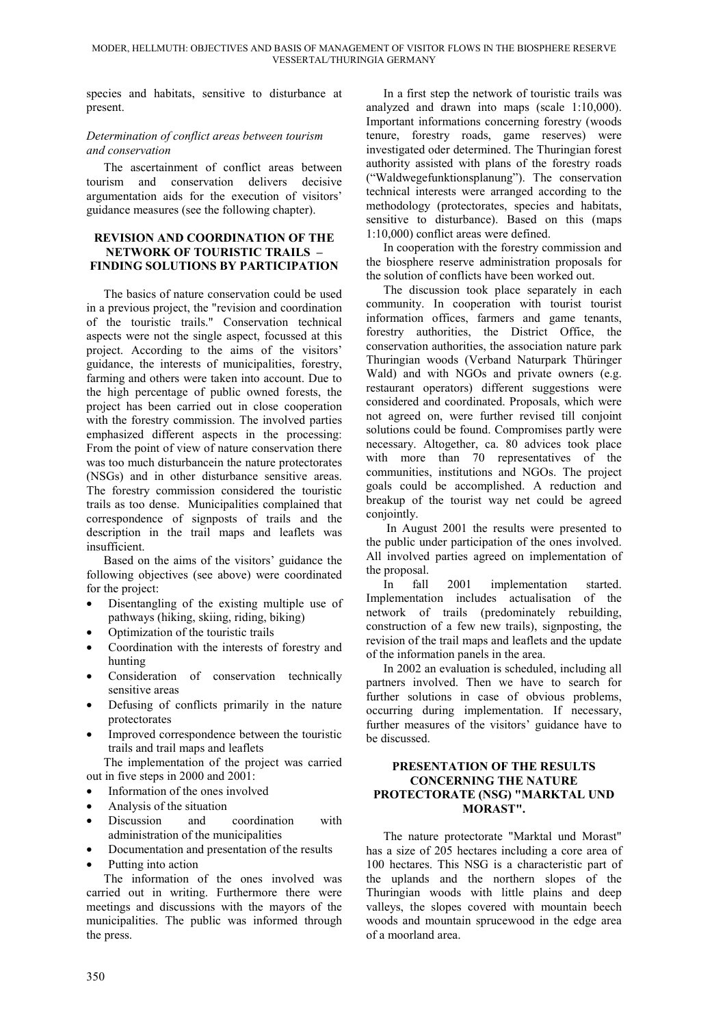species and habitats, sensitive to disturbance at present.

# *Determination of conflict areas between tourism and conservation*

The ascertainment of conflict areas between tourism and conservation delivers decisive argumentation aids for the execution of visitors' guidance measures (see the following chapter).

# **REVISION AND COORDINATION OF THE NETWORK OF TOURISTIC TRAILS – FINDING SOLUTIONS BY PARTICIPATION**

The basics of nature conservation could be used in a previous project, the "revision and coordination of the touristic trails." Conservation technical aspects were not the single aspect, focussed at this project. According to the aims of the visitors' guidance, the interests of municipalities, forestry, farming and others were taken into account. Due to the high percentage of public owned forests, the project has been carried out in close cooperation with the forestry commission. The involved parties emphasized different aspects in the processing: From the point of view of nature conservation there was too much disturbancein the nature protectorates (NSGs) and in other disturbance sensitive areas. The forestry commission considered the touristic trails as too dense. Municipalities complained that correspondence of signposts of trails and the description in the trail maps and leaflets was insufficient.

Based on the aims of the visitors' guidance the following objectives (see above) were coordinated for the project:

- Disentangling of the existing multiple use of pathways (hiking, skiing, riding, biking)
- Optimization of the touristic trails
- Coordination with the interests of forestry and hunting
- Consideration of conservation technically sensitive areas
- Defusing of conflicts primarily in the nature protectorates
- Improved correspondence between the touristic trails and trail maps and leaflets

The implementation of the project was carried out in five steps in 2000 and 2001:

- Information of the ones involved
- Analysis of the situation
- Discussion and coordination with administration of the municipalities
- Documentation and presentation of the results
- Putting into action

The information of the ones involved was carried out in writing. Furthermore there were meetings and discussions with the mayors of the municipalities. The public was informed through the press.

In a first step the network of touristic trails was analyzed and drawn into maps (scale 1:10,000). Important informations concerning forestry (woods tenure, forestry roads, game reserves) were investigated oder determined. The Thuringian forest authority assisted with plans of the forestry roads ("Waldwegefunktionsplanung"). The conservation technical interests were arranged according to the methodology (protectorates, species and habitats, sensitive to disturbance). Based on this (maps 1:10,000) conflict areas were defined.

In cooperation with the forestry commission and the biosphere reserve administration proposals for the solution of conflicts have been worked out.

The discussion took place separately in each community. In cooperation with tourist tourist information offices, farmers and game tenants, forestry authorities, the District Office, the conservation authorities, the association nature park Thuringian woods (Verband Naturpark Thüringer Wald) and with NGOs and private owners (e.g. restaurant operators) different suggestions were considered and coordinated. Proposals, which were not agreed on, were further revised till conjoint solutions could be found. Compromises partly were necessary. Altogether, ca. 80 advices took place with more than 70 representatives of the communities, institutions and NGOs. The project goals could be accomplished. A reduction and breakup of the tourist way net could be agreed conjointly.

 In August 2001 the results were presented to the public under participation of the ones involved. All involved parties agreed on implementation of the proposal.

In fall 2001 implementation started. Implementation includes actualisation of the network of trails (predominately rebuilding, construction of a few new trails), signposting, the revision of the trail maps and leaflets and the update of the information panels in the area.

In 2002 an evaluation is scheduled, including all partners involved. Then we have to search for further solutions in case of obvious problems, occurring during implementation. If necessary, further measures of the visitors' guidance have to be discussed.

### **PRESENTATION OF THE RESULTS CONCERNING THE NATURE PROTECTORATE (NSG) "MARKTAL UND MORAST".**

The nature protectorate "Marktal und Morast" has a size of 205 hectares including a core area of 100 hectares. This NSG is a characteristic part of the uplands and the northern slopes of the Thuringian woods with little plains and deep valleys, the slopes covered with mountain beech woods and mountain sprucewood in the edge area of a moorland area.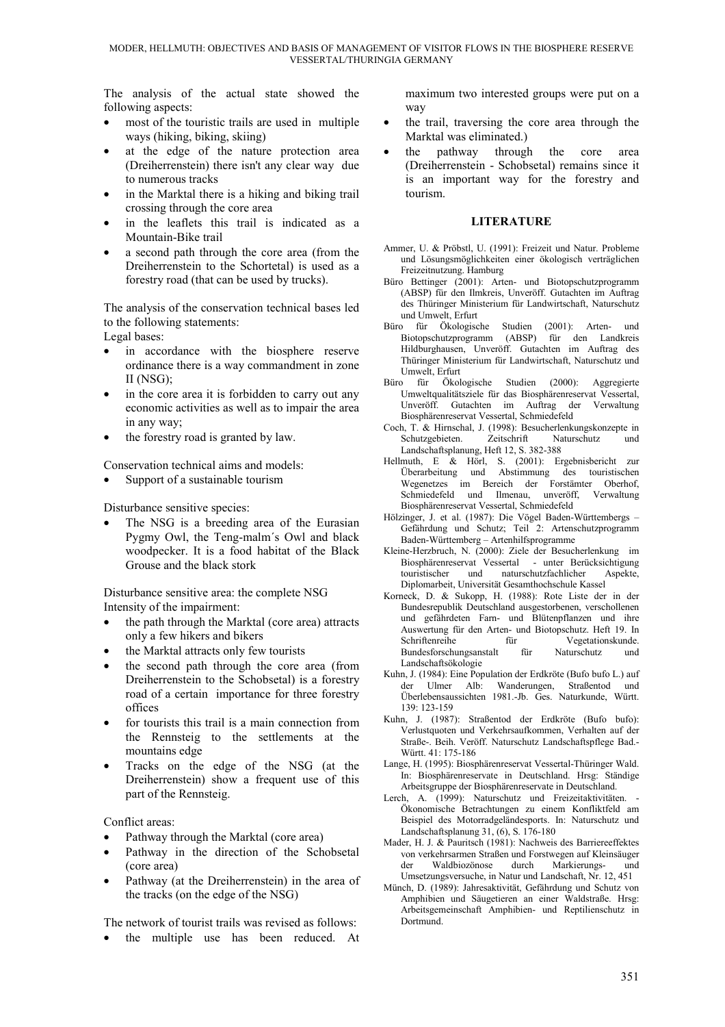The analysis of the actual state showed the following aspects:

- most of the touristic trails are used in multiple ways (hiking, biking, skiing)
- at the edge of the nature protection area (Dreiherrenstein) there isn't any clear way due to numerous tracks
- in the Marktal there is a hiking and biking trail crossing through the core area
- in the leaflets this trail is indicated as a Mountain-Bike trail
- a second path through the core area (from the Dreiherrenstein to the Schortetal) is used as a forestry road (that can be used by trucks).

The analysis of the conservation technical bases led to the following statements:

Legal bases:

- in accordance with the biosphere reserve ordinance there is a way commandment in zone II (NSG);
- in the core area it is forbidden to carry out any economic activities as well as to impair the area in any way;
- the forestry road is granted by law.

Conservation technical aims and models:

Support of a sustainable tourism

Disturbance sensitive species:

The NSG is a breeding area of the Eurasian Pygmy Owl, the Teng-malm´s Owl and black woodpecker. It is a food habitat of the Black Grouse and the black stork

Disturbance sensitive area: the complete NSG Intensity of the impairment:

- the path through the Marktal (core area) attracts only a few hikers and bikers
- the Marktal attracts only few tourists
- the second path through the core area (from Dreiherrenstein to the Schobsetal) is a forestry road of a certain importance for three forestry offices
- for tourists this trail is a main connection from the Rennsteig to the settlements at the mountains edge
- Tracks on the edge of the NSG (at the Dreiherrenstein) show a frequent use of this part of the Rennsteig.

Conflict areas:

- Pathway through the Marktal (core area)
- Pathway in the direction of the Schobsetal (core area)
- Pathway (at the Dreiherrenstein) in the area of the tracks (on the edge of the NSG)

The network of tourist trails was revised as follows:

the multiple use has been reduced. At

maximum two interested groups were put on a way

- the trail, traversing the core area through the Marktal was eliminated.)
- the pathway through the core area (Dreiherrenstein - Schobsetal) remains since it is an important way for the forestry and tourism.

### **LITERATURE**

- Ammer, U. & Pröbstl, U. (1991): Freizeit und Natur. Probleme und Lösungsmöglichkeiten einer ökologisch verträglichen Freizeitnutzung. Hamburg
- Büro Bettinger (2001): Arten- und Biotopschutzprogramm (ABSP) für den Ilmkreis, Unveröff. Gutachten im Auftrag des Thüringer Ministerium für Landwirtschaft, Naturschutz und Umwelt, Erfurt<br>Büro für Ökologische
- Studien (2001): Arten- und Biotopschutzprogramm (ABSP) für den Landkreis Hildburghausen, Unveröff. Gutachten im Auftrag des Thüringer Ministerium für Landwirtschaft, Naturschutz und Umwelt, Erfurt
- Büro für Ökologische Studien (2000): Aggregierte Umweltqualitätsziele für das Biosphärenreservat Vessertal, Unveröff. Gutachten im Auftrag der Verwaltung Biosphärenreservat Vessertal, Schmiedefeld
- Coch, T. & Hirnschal, J. (1998): Besucherlenkungskonzepte in Schutzgebieten. Zeitschrift Naturschutz und Landschaftsplanung, Heft 12, S. 382-388
- Hellmuth, E & Hörl, S. (2001): Ergebnisbericht zur Abstimmung des touristischen Wegenetzes im Bereich der Forstämter Oberhof, Schmiedefeld und Ilmenau, unveröff, Verwaltung Biosphärenreservat Vessertal, Schmiedefeld
- Hölzinger, J. et al. (1987): Die Vögel Baden-Württembergs Gefährdung und Schutz; Teil 2: Artenschutzprogramm Baden-Württemberg – Artenhilfsprogramme
- Kleine-Herzbruch, N. (2000): Ziele der Besucherlenkung im Biosphärenreservat Vessertal - unter Berücksichtigung touristischer und naturschutzfachlicher Aspekte, Diplomarbeit, Universität Gesamthochschule Kassel
- Korneck, D. & Sukopp, H. (1988): Rote Liste der in der Bundesrepublik Deutschland ausgestorbenen, verschollenen und gefährdeten Farn- und Blütenpflanzen und ihre Auswertung für den Arten- und Biotopschutz. Heft 19. In Vegetationskunde.<br>
für Naturschutz und Bundesforschungsanstalt für Naturschutz und Landschaftsökologie
- Kuhn, J. (1984): Eine Population der Erdkröte (Bufo bufo L.) auf der Ulmer Alb: Wanderungen, Straßentod Überlebensaussichten 1981.-Jb. Ges. Naturkunde, Württ. 139: 123-159
- Kuhn, J. (1987): Straßentod der Erdkröte (Bufo bufo): Verlustquoten und Verkehrsaufkommen, Verhalten auf der Straße-. Beih. Veröff. Naturschutz Landschaftspflege Bad.- Württ. 41: 175-186
- Lange, H. (1995): Biosphärenreservat Vessertal-Thüringer Wald. In: Biosphärenreservate in Deutschland. Hrsg: Ständige Arbeitsgruppe der Biosphärenreservate in Deutschland.
- Lerch, A.  $(1999)$ : Naturschutz und Freizeitaktivitäten. Ökonomische Betrachtungen zu einem Konfliktfeld am Beispiel des Motorradgeländesports. In: Naturschutz und Landschaftsplanung 31, (6), S. 176-180
- Mader, H. J. & Pauritsch (1981): Nachweis des Barriereeffektes von verkehrsarmen Straßen und Forstwegen auf Kleinsäuger der Waldbiozönose durch Markierungs- und Umsetzungsversuche, in Natur und Landschaft, Nr. 12, 451
- Münch, D. (1989): Jahresaktivität, Gefährdung und Schutz von Amphibien und Säugetieren an einer Waldstraße. Hrsg: Arbeitsgemeinschaft Amphibien- und Reptilienschutz in Dortmund.